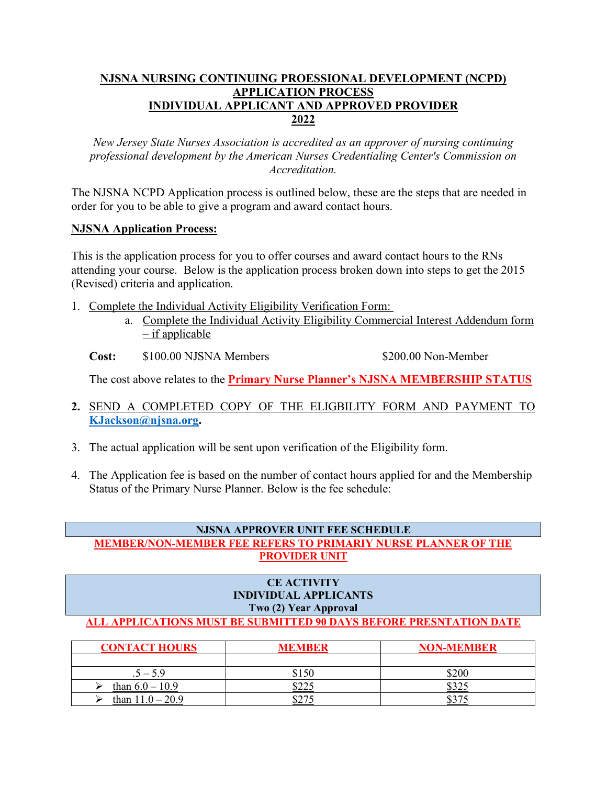### **NJSNA NURSING CONTINUING PROESSIONAL DEVELOPMENT (NCPD) APPLICATION PROCESS INDIVIDUAL APPLICANT AND APPROVED PROVIDER 2022**

*New Jersey State Nurses Association is accredited as an approver of nursing continuing professional development by the American Nurses Credentialing Center's Commission on Accreditation.*

The NJSNA NCPD Application process is outlined below, these are the steps that are needed in order for you to be able to give a program and award contact hours.

#### **NJSNA Application Process:**

This is the application process for you to offer courses and award contact hours to the RNs attending your course. Below is the application process broken down into steps to get the 2015 (Revised) criteria and application.

- 1. Complete the Individual Activity Eligibility Verification Form:
	- a. Complete the Individual Activity Eligibility Commercial Interest Addendum form  $-$  if applicable

**Cost:** \$100.00 NJSNA Members \$200.00 Non-Member

The cost above relates to the **Primary Nurse Planner's NJSNA MEMBERSHIP STATUS**

- **2.** SEND A COMPLETED COPY OF THE ELIGBILITY FORM AND PAYMENT TO **[KJackson@njsna.org.](mailto:KJackson@njsna.org)**
- 3. The actual application will be sent upon verification of the Eligibility form.
- 4. The Application fee is based on the number of contact hours applied for and the Membership Status of the Primary Nurse Planner. Below is the fee schedule:

# **NJSNA APPROVER UNIT FEE SCHEDULE**

### **MEMBER/NON-MEMBER FEE REFERS TO PRIMARIY NURSE PLANNER OF THE PROVIDER UNIT**

#### **CE ACTIVITY INDIVIDUAL APPLICANTS Two (2) Year Approval ALL APPLICATIONS MUST BE SUBMITTED 90 DAYS BEFORE PRESNTATION DATE**

| <b>CONTACT HOURS</b> | <b>MEMBER</b> | <b>NON-MEMBER</b> |
|----------------------|---------------|-------------------|
|                      |               |                   |
| $.5 - 5.9$           | \$150         | \$200             |
| than $6.0 - 10.9$    |               | ⊙∩∩               |
| than $11.0 - 20.9$   |               | ሰኅማረ              |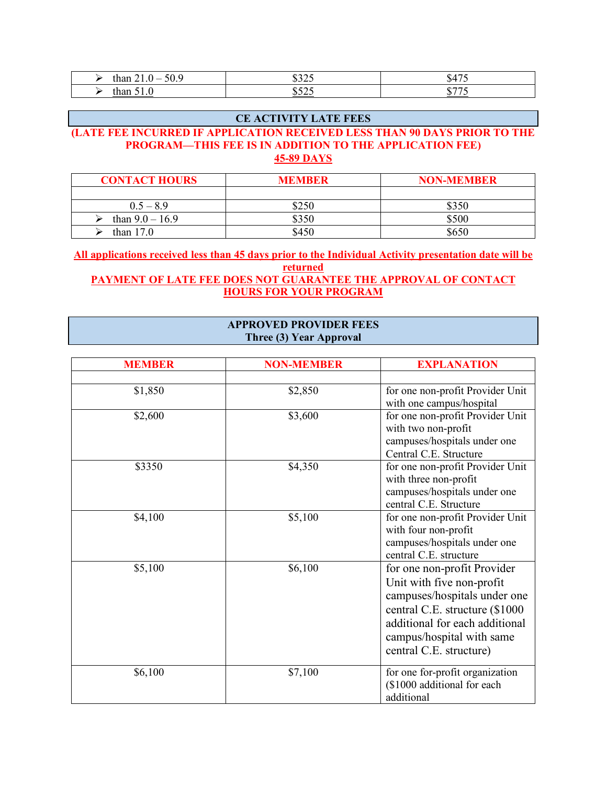| $\sim$<br>ะ เฉฉ<br>$\overline{\phantom{a}}$<br>JU.5<br>шап<br><b>. . v</b> | 0.25<br>ت ⊿ ت⊔<br>__ | $\overline{A}$<br>.54/ |
|----------------------------------------------------------------------------|----------------------|------------------------|
| than                                                                       | 0.525                | ---                    |
| 1.U                                                                        | ن کے ک               | . .                    |

#### **CE ACTIVITY LATE FEES**

#### **(LATE FEE INCURRED IF APPLICATION RECEIVED LESS THAN 90 DAYS PRIOR TO THE PROGRAM—THIS FEE IS IN ADDITION TO THE APPLICATION FEE) 45-89 DAYS**

| <b>CONTACT HOURS</b> | <b>MEMBER</b> | <b>NON-MEMBER</b> |
|----------------------|---------------|-------------------|
|                      |               |                   |
| $0.5 - 8.9$          | \$250         | \$350             |
| than $9.0 - 16.9$    | \$350         | \$500             |
| than $17.0$          | \$450         | \$650             |

**All applications received less than 45 days prior to the Individual Activity presentation date will be returned PAYMENT OF LATE FEE DOES NOT GUARANTEE THE APPROVAL OF CONTACT HOURS FOR YOUR PROGRAM**

#### **APPROVED PROVIDER FEES Three (3) Year Approval**

| <b>MEMBER</b> | <b>NON-MEMBER</b> | <b>EXPLANATION</b>               |
|---------------|-------------------|----------------------------------|
|               |                   |                                  |
| \$1,850       | \$2,850           | for one non-profit Provider Unit |
|               |                   | with one campus/hospital         |
| \$2,600       | \$3,600           | for one non-profit Provider Unit |
|               |                   | with two non-profit              |
|               |                   | campuses/hospitals under one     |
|               |                   | Central C.E. Structure           |
| \$3350        | \$4,350           | for one non-profit Provider Unit |
|               |                   | with three non-profit            |
|               |                   | campuses/hospitals under one     |
|               |                   | central C.E. Structure           |
| \$4,100       | \$5,100           | for one non-profit Provider Unit |
|               |                   | with four non-profit             |
|               |                   | campuses/hospitals under one     |
|               |                   | central C.E. structure           |
| \$5,100       | \$6,100           | for one non-profit Provider      |
|               |                   | Unit with five non-profit        |
|               |                   | campuses/hospitals under one     |
|               |                   | central C.E. structure (\$1000   |
|               |                   | additional for each additional   |
|               |                   | campus/hospital with same        |
|               |                   | central C.E. structure)          |
|               |                   |                                  |
| \$6,100       | \$7,100           | for one for-profit organization  |
|               |                   | (\$1000 additional for each      |
|               |                   | additional                       |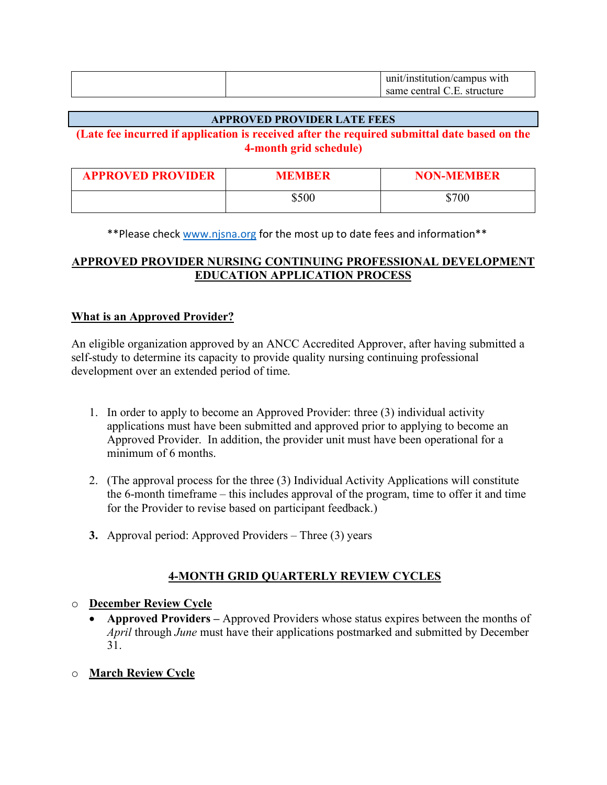|  | with<br>ur<br>sutution/campus \<br>THS |
|--|----------------------------------------|
|  | central<br>structure<br>н<br>same      |

#### **APPROVED PROVIDER LATE FEES**

#### **(Late fee incurred if application is received after the required submittal date based on the 4-month grid schedule)**

| <b>APPROVED PROVIDER</b> | MEMBER | <b>NON-MEMBER</b> |
|--------------------------|--------|-------------------|
|                          | \$500  | \$700             |

\*\*Please check [www.njsna.org](http://www.njsna.org/) for the most up to date fees and information\*\*

### **APPROVED PROVIDER NURSING CONTINUING PROFESSIONAL DEVELOPMENT EDUCATION APPLICATION PROCESS**

#### **What is an Approved Provider?**

An eligible organization approved by an ANCC Accredited Approver, after having submitted a self-study to determine its capacity to provide quality nursing continuing professional development over an extended period of time.

- 1. In order to apply to become an Approved Provider: three (3) individual activity applications must have been submitted and approved prior to applying to become an Approved Provider. In addition, the provider unit must have been operational for a minimum of 6 months.
- 2. (The approval process for the three (3) Individual Activity Applications will constitute the 6-month timeframe – this includes approval of the program, time to offer it and time for the Provider to revise based on participant feedback.)
- **3.** Approval period: Approved Providers Three (3) years

## **4-MONTH GRID QUARTERLY REVIEW CYCLES**

### o **December Review Cycle**

• **Approved Providers –** Approved Providers whose status expires between the months of *April* through *June* must have their applications postmarked and submitted by December 31.

### o **March Review Cycle**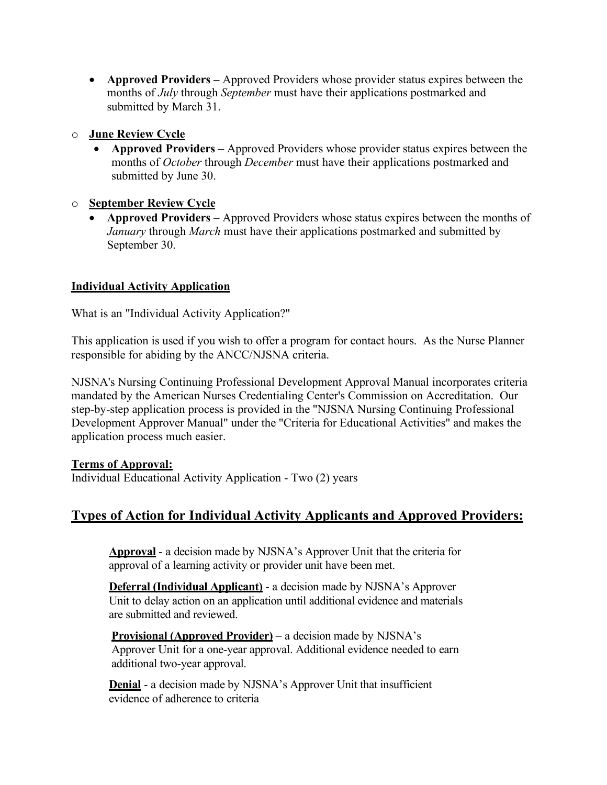• **Approved Providers –** Approved Providers whose provider status expires between the months of *July* through *September* must have their applications postmarked and submitted by March 31.

### o **June Review Cycle**

• **Approved Providers –** Approved Providers whose provider status expires between the months of *October* through *December* must have their applications postmarked and submitted by June 30.

### o **September Review Cycle**

• **Approved Providers** – Approved Providers whose status expires between the months of *January* through *March* must have their applications postmarked and submitted by September 30.

### **Individual Activity Application**

What is an "Individual Activity Application?"

This application is used if you wish to offer a program for contact hours. As the Nurse Planner responsible for abiding by the ANCC/NJSNA criteria.

NJSNA's Nursing Continuing Professional Development Approval Manual incorporates criteria mandated by the American Nurses Credentialing Center's Commission on Accreditation. Our step-by-step application process is provided in the "NJSNA Nursing Continuing Professional Development Approver Manual" under the "Criteria for Educational Activities" and makes the application process much easier.

#### **Terms of Approval:**

Individual Educational Activity Application - Two (2) years

# **Types of Action for Individual Activity Applicants and Approved Providers:**

**Approval** - a decision made by NJSNA's Approver Unit that the criteria for approval of a learning activity or provider unit have been met.

**Deferral (Individual Applicant)** - a decision made by NJSNA's Approver Unit to delay action on an application until additional evidence and materials are submitted and reviewed.

**Provisional (Approved Provider)** – a decision made by NJSNA's Approver Unit for a one-year approval. Additional evidence needed to earn additional two-year approval.

**Denial** - a decision made by NJSNA's Approver Unit that insufficient evidence of adherence to criteria